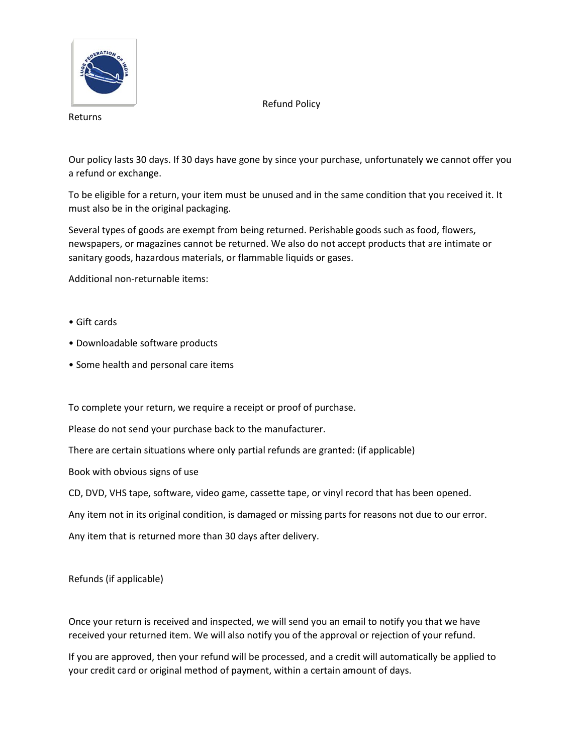

Refund Policy

Returns

Our policy lasts 30 days. If 30 days have gone by since your purchase, unfortunately we cannot offer you a refund or exchange.

To be eligible for a return, your item must be unused and in the same condition that you received it. It must also be in the original packaging.

Several types of goods are exempt from being returned. Perishable goods such as food, flowers, newspapers, or magazines cannot be returned. We also do not accept products that are intimate or sanitary goods, hazardous materials, or flammable liquids or gases.

Additional non-returnable items:

- Gift cards
- Downloadable software products
- Some health and personal care items

To complete your return, we require a receipt or proof of purchase.

Please do not send your purchase back to the manufacturer.

There are certain situations where only partial refunds are granted: (if applicable)

Book with obvious signs of use

CD, DVD, VHS tape, software, video game, cassette tape, or vinyl record that has been opened.

Any item not in its original condition, is damaged or missing parts for reasons not due to our error.

Any item that is returned more than 30 days after delivery.

Refunds (if applicable)

Once your return is received and inspected, we will send you an email to notify you that we have received your returned item. We will also notify you of the approval or rejection of your refund.

If you are approved, then your refund will be processed, and a credit will automatically be applied to your credit card or original method of payment, within a certain amount of days.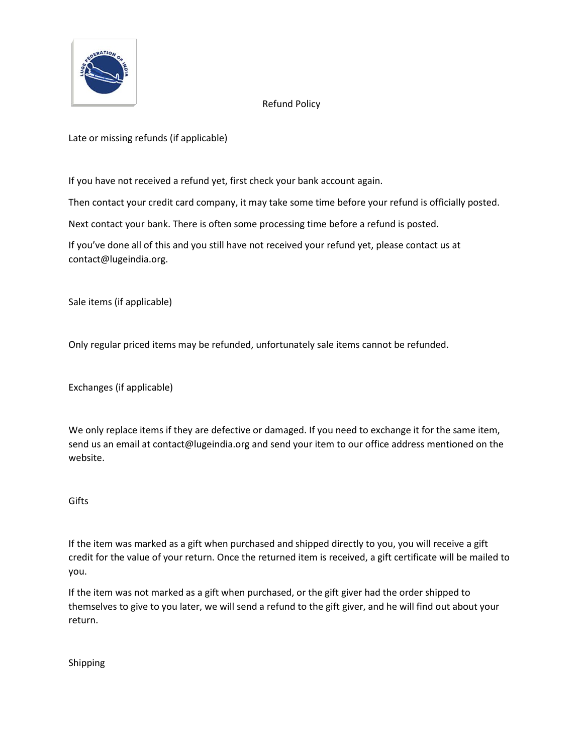

## Refund Policy

Late or missing refunds (if applicable)

If you have not received a refund yet, first check your bank account again.

Then contact your credit card company, it may take some time before your refund is officially posted.

Next contact your bank. There is often some processing time before a refund is posted.

If you've done all of this and you still have not received your refund yet, please contact us at contact@lugeindia.org.

Sale items (if applicable)

Only regular priced items may be refunded, unfortunately sale items cannot be refunded.

Exchanges (if applicable)

We only replace items if they are defective or damaged. If you need to exchange it for the same item, send us an email at contact@lugeindia.org and send your item to our office address mentioned on the website.

## **Gifts**

If the item was marked as a gift when purchased and shipped directly to you, you will receive a gift credit for the value of your return. Once the returned item is received, a gift certificate will be mailed to you.

If the item was not marked as a gift when purchased, or the gift giver had the order shipped to themselves to give to you later, we will send a refund to the gift giver, and he will find out about your return.

Shipping